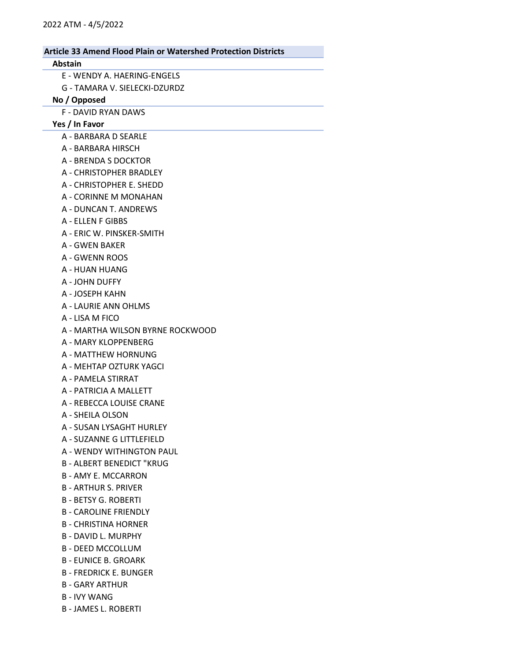#### Abstain

E - WENDY A. HAERING-ENGELS

G - TAMARA V. SIELECKI-DZURDZ

#### No / Opposed

F - DAVID RYAN DAWS

# Yes / In Favor

- A BARBARA D SEARLE
- A BARBARA HIRSCH
- A BRENDA S DOCKTOR
- A CHRISTOPHER BRADLEY
- A CHRISTOPHER E. SHEDD
- A CORINNE M MONAHAN
- A DUNCAN T. ANDREWS
- A ELLEN F GIBBS
- A ERIC W. PINSKER-SMITH
- A GWEN BAKER
- A GWENN ROOS
- A HUAN HUANG
- A JOHN DUFFY
- A JOSEPH KAHN
- A LAURIE ANN OHLMS
- A LISA M FICO
- A MARTHA WILSON BYRNE ROCKWOOD
- A MARY KLOPPENBERG
- A MATTHEW HORNUNG
- A MEHTAP OZTURK YAGCI
- A PAMELA STIRRAT
- A PATRICIA A MALLETT
- A REBECCA LOUISE CRANE
- A SHEILA OLSON
- A SUSAN LYSAGHT HURLEY
- A SUZANNE G LITTLEFIELD
- A WENDY WITHINGTON PAUL
- B ALBERT BENEDICT "KRUG
- B AMY E. MCCARRON
- B ARTHUR S. PRIVER
- B BETSY G. ROBERTI
- B CAROLINE FRIENDLY
- B CHRISTINA HORNER
- B DAVID L. MURPHY
- B DEED MCCOLLUM
- B EUNICE B. GROARK
- B FREDRICK E. BUNGER
- B GARY ARTHUR
- B IVY WANG
- B JAMES L. ROBERTI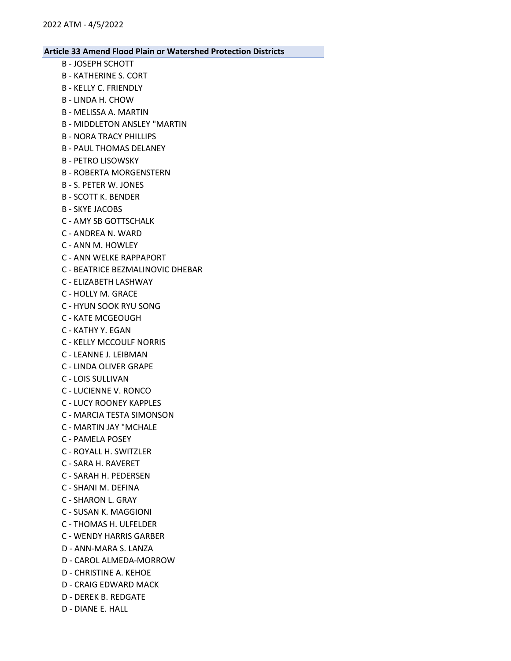- B JOSEPH SCHOTT
- B KATHERINE S. CORT
- B KELLY C. FRIENDLY
- B LINDA H. CHOW
- B MELISSA A. MARTIN
- B MIDDLETON ANSLEY "MARTIN
- B NORA TRACY PHILLIPS
- B PAUL THOMAS DELANEY
- B PETRO LISOWSKY
- B ROBERTA MORGENSTERN
- B S. PETER W. JONES
- B SCOTT K. BENDER
- B SKYE JACOBS
- C AMY SB GOTTSCHALK
- C ANDREA N. WARD
- C ANN M. HOWLEY
- C ANN WELKE RAPPAPORT
- C BEATRICE BEZMALINOVIC DHEBAR
- C ELIZABETH LASHWAY
- C HOLLY M. GRACE
- C HYUN SOOK RYU SONG
- C KATE MCGEOUGH
- C KATHY Y. EGAN
- C KELLY MCCOULF NORRIS
- C LEANNE J. LEIBMAN
- C LINDA OLIVER GRAPE
- C LOIS SULLIVAN
- C LUCIENNE V. RONCO
- C LUCY ROONEY KAPPLES
- C MARCIA TESTA SIMONSON
- C MARTIN JAY "MCHALE
- C PAMELA POSEY
- C ROYALL H. SWITZLER
- C SARA H. RAVERET
- C SARAH H. PEDERSEN
- C SHANI M. DEFINA
- C SHARON L. GRAY
- C SUSAN K. MAGGIONI
- C THOMAS H. ULFELDER
- C WENDY HARRIS GARBER
- D ANN-MARA S. LANZA
- D CAROL ALMEDA-MORROW
- D CHRISTINE A. KEHOE
- D CRAIG EDWARD MACK
- D DEREK B. REDGATE
- D DIANE E. HALL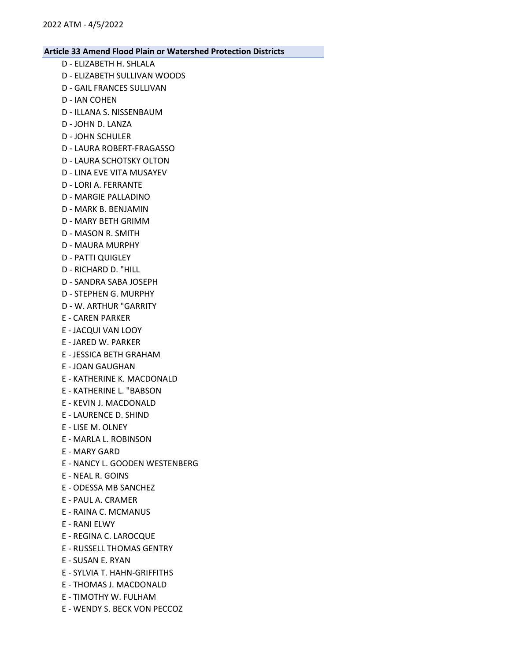- D ELIZABETH H. SHLALA D - ELIZABETH SULLIVAN WOODS D - GAIL FRANCES SULLIVAN D - IAN COHEN D - ILLANA S. NISSENBAUM D - JOHN D. LANZA D - JOHN SCHULER D - LAURA ROBERT-FRAGASSO D - LAURA SCHOTSKY OLTON D - LINA EVE VITA MUSAYEV D - LORI A. FERRANTE D - MARGIE PALLADINO D - MARK B. BENJAMIN D - MARY BETH GRIMM D - MASON R. SMITH D - MAURA MURPHY D - PATTI QUIGLEY D - RICHARD D. "HILL D - SANDRA SABA JOSEPH D - STEPHEN G. MURPHY D - W. ARTHUR "GARRITY E - CAREN PARKER E - JACQUI VAN LOOY E - JARED W. PARKER E - JESSICA BETH GRAHAM E - JOAN GAUGHAN E - KATHERINE K. MACDONALD E - KATHERINE L. "BABSON E - KEVIN J. MACDONALD E - LAURENCE D. SHIND E - LISE M. OLNEY E - MARLA L. ROBINSON E - MARY GARD E - NANCY L. GOODEN WESTENBERG E - NEAL R. GOINS E - ODESSA MB SANCHEZ E - PAUL A. CRAMER E - RAINA C. MCMANUS E - RANI ELWY E - REGINA C. LAROCQUE E - RUSSELL THOMAS GENTRY E - SUSAN E. RYAN E - SYLVIA T. HAHN-GRIFFITHS
- E THOMAS J. MACDONALD
- E TIMOTHY W. FULHAM
- E WENDY S. BECK VON PECCOZ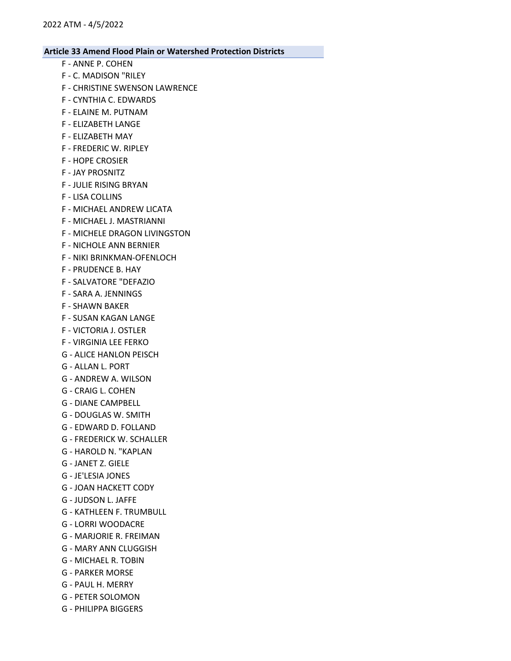- F ANNE P. COHEN
- F C. MADISON "RILEY
- F CHRISTINE SWENSON LAWRENCE
- F CYNTHIA C. EDWARDS
- F ELAINE M. PUTNAM
- F ELIZABETH LANGE
- F ELIZABETH MAY
- F FREDERIC W. RIPLEY
- F HOPE CROSIER
- F JAY PROSNITZ
- F JULIE RISING BRYAN
- F LISA COLLINS
- F MICHAEL ANDREW LICATA
- F MICHAEL J. MASTRIANNI
- F MICHELE DRAGON LIVINGSTON
- F NICHOLE ANN BERNIER
- F NIKI BRINKMAN-OFENLOCH
- F PRUDENCE B. HAY
- F SALVATORE "DEFAZIO
- F SARA A. JENNINGS
- F SHAWN BAKER
- F SUSAN KAGAN LANGE
- F VICTORIA J. OSTLER
- F VIRGINIA LEE FERKO
- G ALICE HANLON PEISCH
- G ALLAN L. PORT
- G ANDREW A. WILSON
- G CRAIG L. COHEN
- G DIANE CAMPBELL
- G DOUGLAS W. SMITH
- G EDWARD D. FOLLAND
- G FREDERICK W. SCHALLER
- G HAROLD N. "KAPLAN
- G JANET Z. GIELE
- G JE'LESIA JONES
- G JOAN HACKETT CODY
- G JUDSON L. JAFFE
- G KATHLEEN F. TRUMBULL
- G LORRI WOODACRE
- G MARJORIE R. FREIMAN
- G MARY ANN CLUGGISH
- G MICHAEL R. TOBIN
- G PARKER MORSE
- G PAUL H. MERRY
- G PETER SOLOMON
- G PHILIPPA BIGGERS